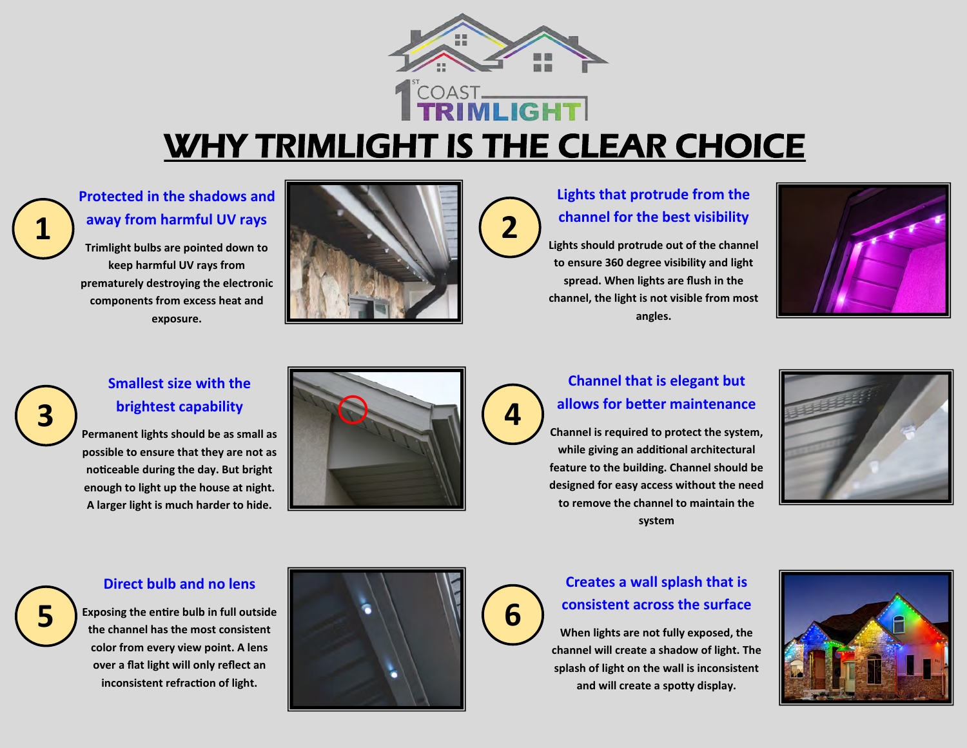

**2**

**4**

## WHY TRIMLIGHT IS THE CLEAR CHOICE

### **Protected in the shadows and away from harmful UV rays**

**Trimlight bulbs are pointed down to keep harmful UV rays from prematurely destroying the electronic components from excess heat and exposure.**



### **Lights that protrude from the channel for the best visibility**

**Lights should protrude out of the channel to ensure 360 degree visibility and light spread. When lights are flush in the channel, the light is not visible from most angles.**



# **3**

**1**

### **Smallest size with the brightest capability**

**Permanent lights should be as small as possible to ensure that they are not as noticeable during the day. But bright enough to light up the house at night. A larger light is much harder to hide.**



### **Channel that is elegant but allows for better maintenance**

**Channel is required to protect the system, while giving an additional architectural feature to the building. Channel should be designed for easy access without the need to remove the channel to maintain the system**



### **Direct bulb and no lens**

**5**

**Exposing the entire bulb in full outside the channel has the most consistent color from every view point. A lens over a flat light will only reflect an inconsistent refraction of light.**





### **Creates a wall splash that is consistent across the surface**

**When lights are not fully exposed, the channel will create a shadow of light. The splash of light on the wall is inconsistent and will create a spotty display.**

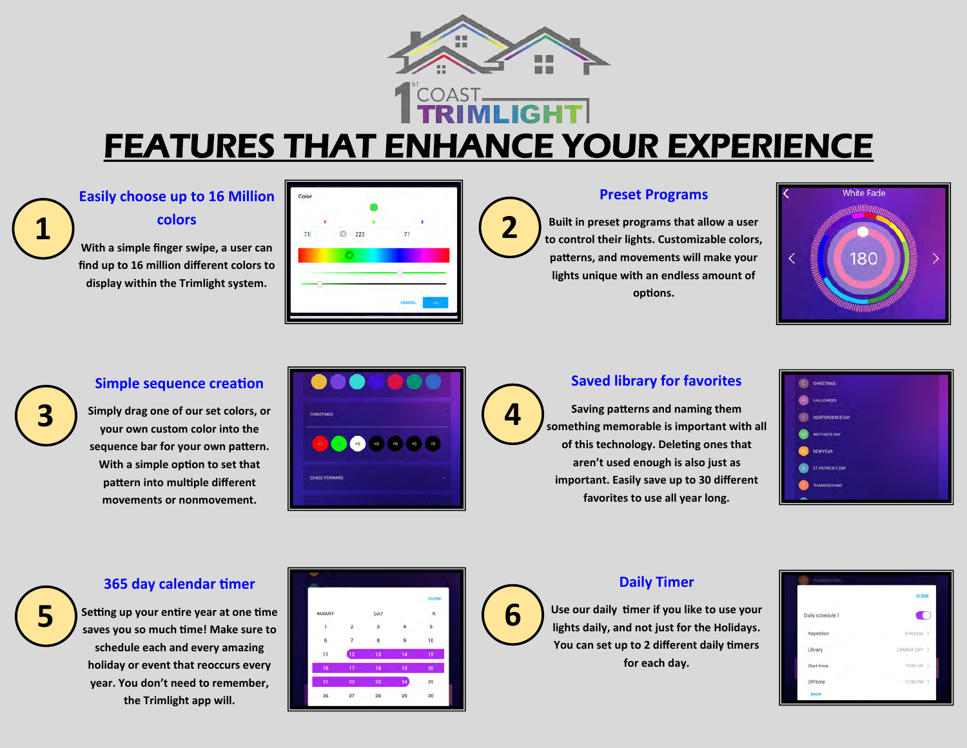

## FEATURES THAT ENHANCE YOUR EXPERIENCE

**2**

## **Easily choose up to 16 Million**

**colors**

**1**

**3**

**5**

**With a simple finger swipe, a user can find up to 16 million different colors to display within the Trimlight system.**



### **Preset Programs**

**Built in preset programs that allow a user to control their lights. Customizable colors, patterns, and movements will make your lights unique with an endless amount of options.**



### **Simple sequence creation**

**Simply drag one of our set colors, or your own custom color into the sequence bar for your own pattern. With a simple option to set that pattern into multiple different movements or nonmovement.**



### **Saved library for favorites**

**Saving patterns and naming them something memorable is important with all of this technology. Deleting ones that aren't used enough is also just as important. Easily save up to 30 different favorites to use all year long.**



### **365 day calendar timer**

**Setting up your entire year at one time saves you so much time! Make sure to schedule each and every amazing holiday or event that reoccurs every year. You don't need to remember, the Trimlight app will.**





### **Daily Timer**

**Use our daily timer if you like to use your lights daily, and not just for the Holidays. You can set up to 2 different daily timers for each day.**

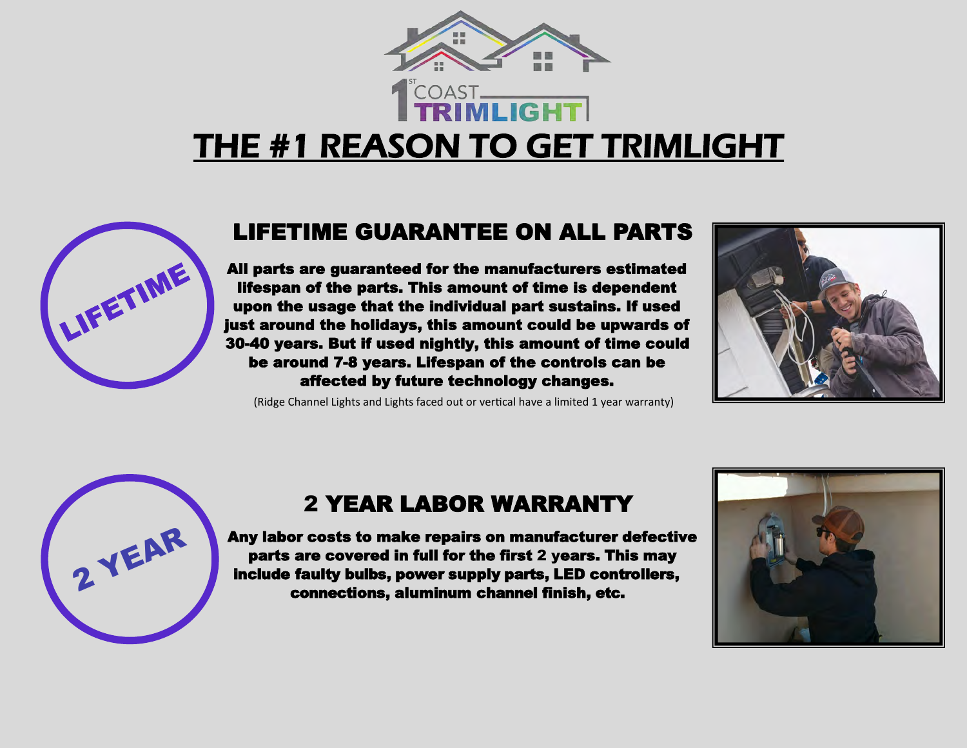

## THE #1 REASON TO GET TRIMLIGHT



### LIFETIME GUARANTEE ON ALL PARTS

All parts are guaranteed for the manufacturers estimated lifespan of the parts. This amount of time is dependent upon the usage that the individual part sustains. If used just around the holidays, this amount could be upwards of 30-40 years. But if used nightly, this amount of time could be around 7-8 years. Lifespan of the controls can be affected by future technology changes.

(Ridge Channel Lights and Lights faced out or vertical have a limited 1 year warranty)





## 2 YEAR LABOR WARRANTY

Any labor costs to make repairs on manufacturer defective parts are covered in full for the first 2 years. This may include faulty bulbs, power supply parts, LED controllers, connections, aluminum channel finish, etc.

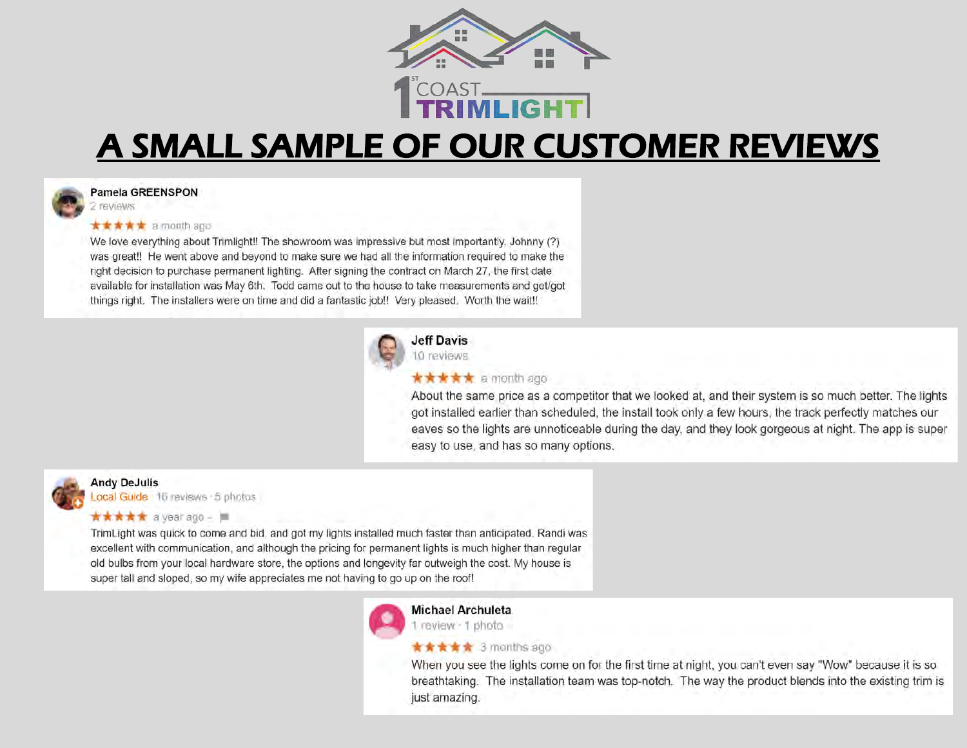

## A SMALL SAMPLE OF OUR CUSTOMER REVIEWS



#### Pamela GREENSPON

#### **★★★★★** a month ago

We love everything about Trimlight!! The showroom was impressive but most importantly, Johnny (?) was great!! He went above and beyond to make sure we had all the information required to make the right decision to purchase permanent lighting. After signing the contract on March 27, the first date available for installation was May 6th. Todd came out to the house to take measurements and get/got things right. The installers were on time and did a fantastic job!! Very pleased. Worth the wait!!



### **Jeff Davis** 10 reviews

#### **★★★★★** a month ago

About the same price as a competitor that we looked at, and their system is so much better. The lights got installed earlier than scheduled, the install took only a few hours, the track perfectly matches our eaves so the lights are unnoticeable during the day, and they look gorgeous at night. The app is super easy to use, and has so many options.



### **Andy DeJulis**

Local Guide 16 reviews 5 photos

#### **★★★★★** a year ago - ■

TrimLight was quick to come and bid, and got my lights installed much faster than anticipated. Randi was excellent with communication, and although the pricing for permanent lights is much higher than regular old bulbs from your local hardware store, the options and longevity far outweigh the cost. My house is super tall and sloped, so my wife appreciates me not having to go up on the roof!



#### **Michael Archuleta**

1 review - 1 photo

#### **★★★★★** 3 months ago

When you see the lights come on for the first time at night, you can't even say "Wow" because it is so breathtaking. The installation team was top-notch. The way the product blends into the existing trim is just amazing.